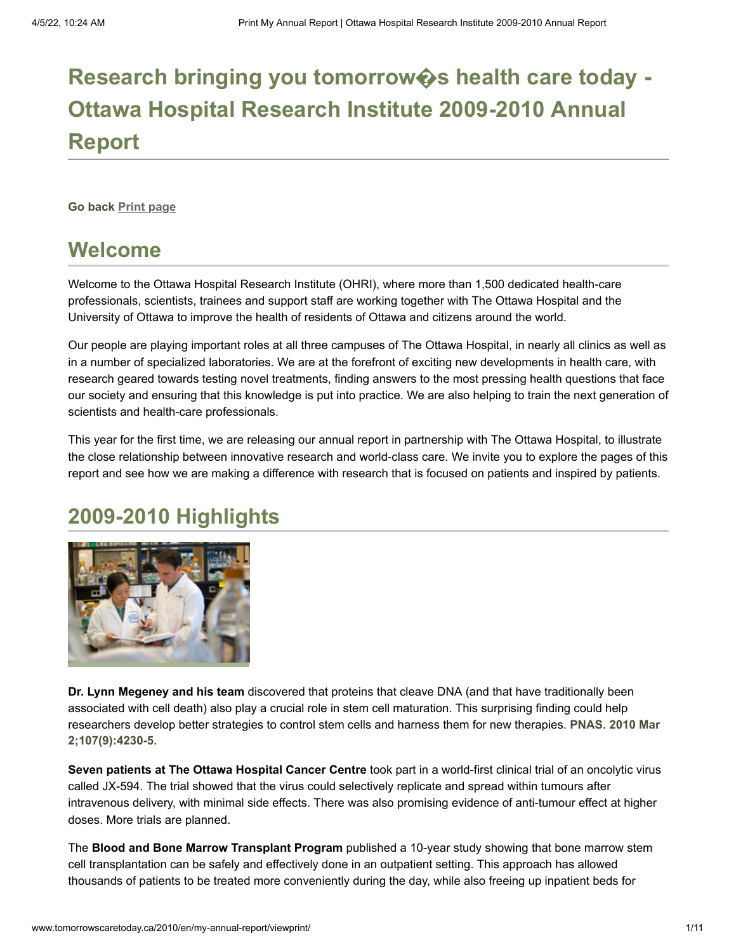# **Research bringing you tomorrow�s health care today - Ottawa Hospital Research Institute [2009-2010](http://www.tomorrowscaretoday.ca/2010/en/) Annual Report**

**[Go back](http://www.tomorrowscaretoday.ca/2010/en/my-annual-report/view) [Print page](http://www.tomorrowscaretoday.ca/2010/en/my-annual-report/viewprint/)**

#### **Welcome**

Welcome to the Ottawa Hospital Research Institute (OHRI), where more than 1,500 dedicated health-care professionals, scientists, trainees and support staff are working together with The Ottawa Hospital and the University of Ottawa to improve the health of residents of Ottawa and citizens around the world.

Our people are playing important roles at all three campuses of The Ottawa Hospital, in nearly all clinics as well as in a number of specialized laboratories. We are at the forefront of exciting new developments in health care, with research geared towards testing novel treatments, finding answers to the most pressing health questions that face our society and ensuring that this knowledge is put into practice. We are also helping to train the next generation of scientists and health-care professionals.

This year for the first time, we are releasing our annual report in partnership with The Ottawa Hospital, to illustrate the close relationship between innovative research and world-class care. We invite you to explore the pages of this report and see how we are making a difference with research that is focused on patients and inspired by patients.

## **2009-2010 Highlights**



**Dr. Lynn Megeney and his team** discovered that proteins that cleave DNA (and that have traditionally been associated with cell death) also play a crucial role in stem cell maturation. This surprising finding could help [researchers develop better strategies to control stem cells and harness them for new therapies.](http://www.ncbi.nlm.nih.gov/pubmed/20160104) **PNAS. 2010 Mar 2;107(9):4230-5**.

**Seven patients at The Ottawa Hospital Cancer Centre** took part in a world-first clinical trial of an oncolytic virus called JX-594. The trial showed that the virus could selectively replicate and spread within tumours after intravenous delivery, with minimal side effects. There was also promising evidence of anti-tumour effect at higher doses. More trials are planned.

The **Blood and Bone Marrow Transplant Program** published a 10-year study showing that bone marrow stem cell transplantation can be safely and effectively done in an outpatient setting. This approach has allowed thousands of patients to be treated more conveniently during the day, while also freeing up inpatient beds for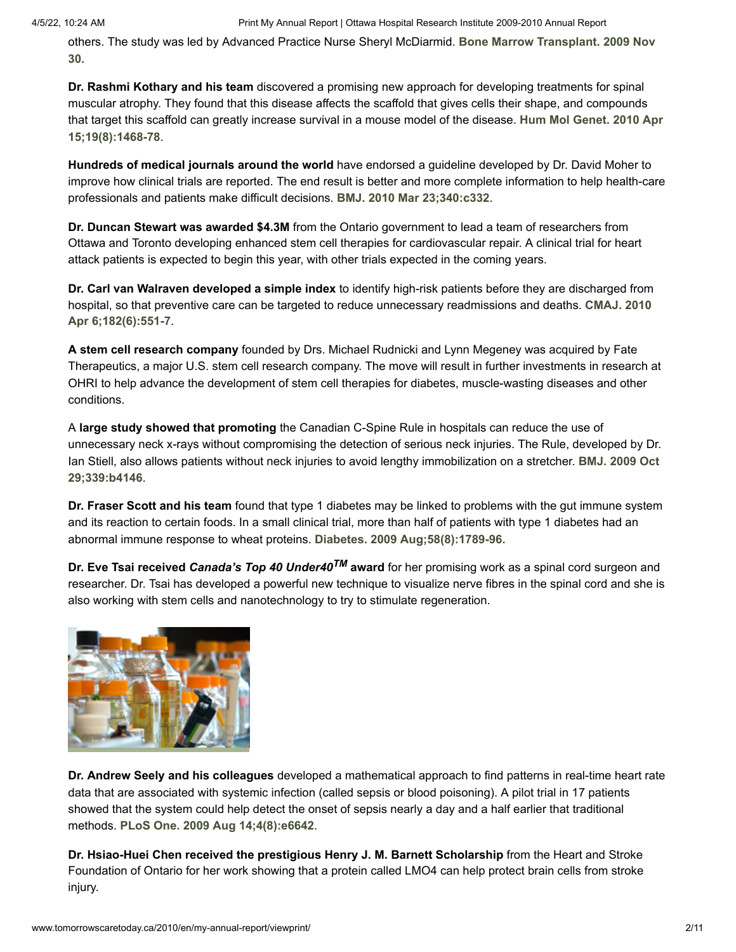[others. The study was led by Advanced Practice Nurse Sheryl McDiarmid.](http://www.ncbi.nlm.nih.gov/pubmed/19946343) **Bone Marrow Transplant. 2009 Nov 30.**

**Dr. Rashmi Kothary and his team** discovered a promising new approach for developing treatments for spinal muscular atrophy. They found that this disease affects the scaffold that gives cells their shape, and compounds [that target this scaffold can greatly increase survival in a mouse model of the disease.](http://www.ncbi.nlm.nih.gov/pubmed/20097679) **Hum Mol Genet. 2010 Apr 15;19(8):1468-78**.

**Hundreds of medical journals around the world** have endorsed a guideline developed by Dr. David Moher to improve how clinical trials are reported. The end result is better and more complete information to help health-care professionals and patients make difficult decisions. **[BMJ. 2010 Mar 23;340:c332](http://www.ncbi.nlm.nih.gov/pubmed/20332509)**.

**Dr. Duncan Stewart was awarded \$4.3M** from the Ontario government to lead a team of researchers from Ottawa and Toronto developing enhanced stem cell therapies for cardiovascular repair. A clinical trial for heart attack patients is expected to begin this year, with other trials expected in the coming years.

**Dr. Carl van Walraven developed a simple index** to identify high-risk patients before they are discharged from [hospital, so that preventive care can be targeted to reduce unnecessary readmissions and deaths.](http://www.ncbi.nlm.nih.gov/pubmed/20194559) **CMAJ. 2010 Apr 6;182(6):551-7**.

**A stem cell research company** founded by Drs. Michael Rudnicki and Lynn Megeney was acquired by Fate Therapeutics, a major U.S. stem cell research company. The move will result in further investments in research at OHRI to help advance the development of stem cell therapies for diabetes, muscle-wasting diseases and other conditions.

A **large study showed that promoting** the Canadian C-Spine Rule in hospitals can reduce the use of unnecessary neck x-rays without compromising the detection of serious neck injuries. The Rule, developed by Dr. [Ian Stiell, also allows patients without neck injuries to avoid lengthy immobilization on a stretcher.](http://www.ncbi.nlm.nih.gov/pubmed/19875425) **BMJ. 2009 Oct 29;339:b4146**.

**Dr. Fraser Scott and his team** found that type 1 diabetes may be linked to problems with the gut immune system and its reaction to certain foods. In a small clinical trial, more than half of patients with type 1 diabetes had an abnormal immune response to wheat proteins. **[Diabetes. 2009 Aug;58\(8\):1789-96.](http://www.ncbi.nlm.nih.gov/pubmed/19401421)**

**Dr. Eve Tsai received** *Canada's Top 40 Under40TM* **award** for her promising work as a spinal cord surgeon and researcher. Dr. Tsai has developed a powerful new technique to visualize nerve fibres in the spinal cord and she is also working with stem cells and nanotechnology to try to stimulate regeneration.



**Dr. Andrew Seely and his colleagues** developed a mathematical approach to find patterns in real-time heart rate data that are associated with systemic infection (called sepsis or blood poisoning). A pilot trial in 17 patients showed that the system could help detect the onset of sepsis nearly a day and a half earlier that traditional methods. **[PLoS One. 2009 Aug 14;4\(8\):e6642](http://www.ncbi.nlm.nih.gov/pubmed/19680545)**.

**Dr. Hsiao-Huei Chen received the prestigious Henry J. M. Barnett Scholarship** from the Heart and Stroke Foundation of Ontario for her work showing that a protein called LMO4 can help protect brain cells from stroke injury.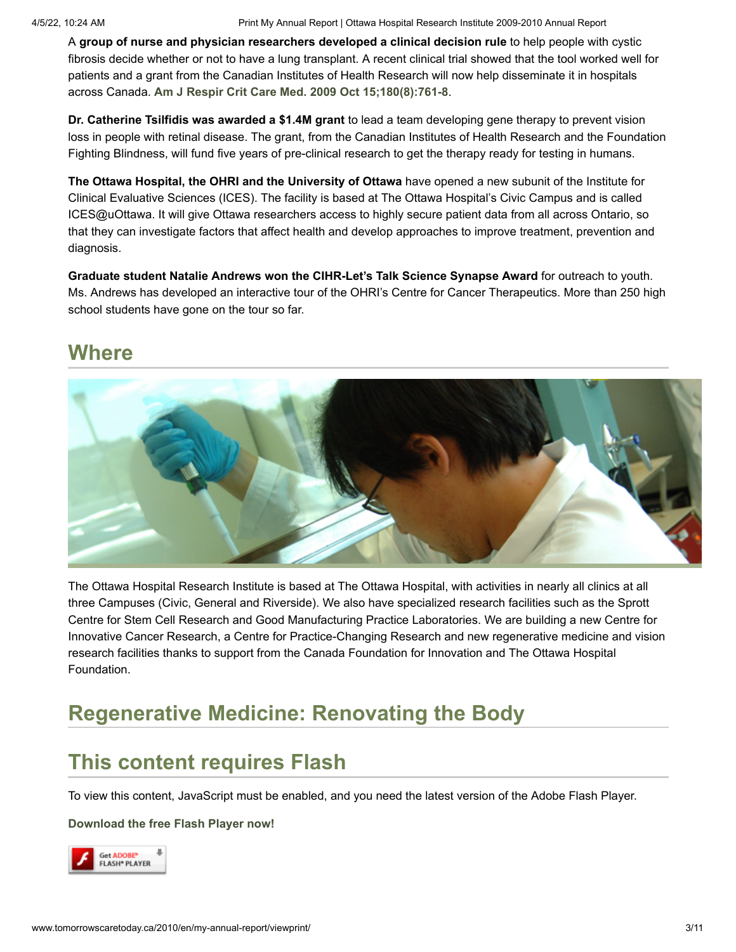A **group of nurse and physician researchers developed a clinical decision rule** to help people with cystic fibrosis decide whether or not to have a lung transplant. A recent clinical trial showed that the tool worked well for patients and a grant from the Canadian Institutes of Health Research will now help disseminate it in hospitals across Canada. **[Am J Respir Crit Care Med. 2009 Oct 15;180\(8\):761-8](http://www.ncbi.nlm.nih.gov/pubmed/19590021)**.

**Dr. Catherine Tsilfidis was awarded a \$1.4M grant** to lead a team developing gene therapy to prevent vision loss in people with retinal disease. The grant, from the Canadian Institutes of Health Research and the Foundation Fighting Blindness, will fund five years of pre-clinical research to get the therapy ready for testing in humans.

**The Ottawa Hospital, the OHRI and the University of Ottawa** have opened a new subunit of the Institute for Clinical Evaluative Sciences (ICES). The facility is based at The Ottawa Hospital's Civic Campus and is called ICES@uOttawa. It will give Ottawa researchers access to highly secure patient data from all across Ontario, so that they can investigate factors that affect health and develop approaches to improve treatment, prevention and diagnosis.

**Graduate student Natalie Andrews won the CIHR-Let's Talk Science Synapse Award** for outreach to youth. Ms. Andrews has developed an interactive tour of the OHRI's Centre for Cancer Therapeutics. More than 250 high school students have gone on the tour so far.

### **Where**



The Ottawa Hospital Research Institute is based at The Ottawa Hospital, with activities in nearly all clinics at all three Campuses (Civic, General and Riverside). We also have specialized research facilities such as the Sprott Centre for Stem Cell Research and Good Manufacturing Practice Laboratories. We are building a new Centre for Innovative Cancer Research, a Centre for Practice-Changing Research and new regenerative medicine and vision research facilities thanks to support from the Canada Foundation for Innovation and The Ottawa Hospital Foundation.

# **Regenerative Medicine: Renovating the Body**

### **This content requires Flash**

To view this content, JavaScript must be enabled, and you need the latest version of the Adobe Flash Player.

**[Download the free Flash Player now!](http://www.adobe.com/go/getflashplayer)**

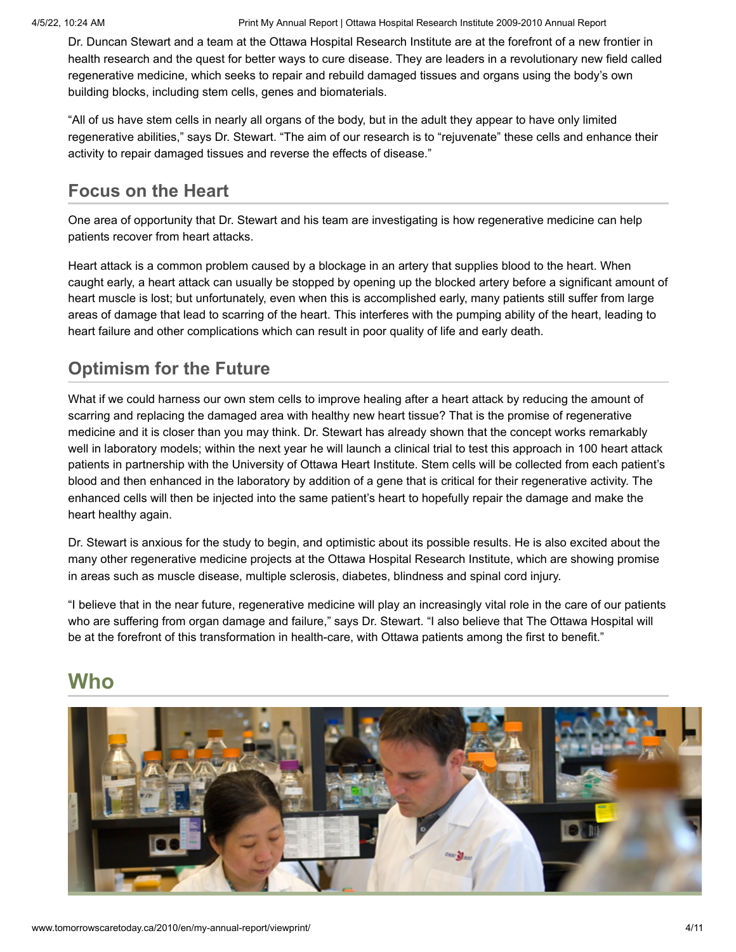Dr. Duncan Stewart and a team at the Ottawa Hospital Research Institute are at the forefront of a new frontier in health research and the quest for better ways to cure disease. They are leaders in a revolutionary new field called regenerative medicine, which seeks to repair and rebuild damaged tissues and organs using the body's own building blocks, including stem cells, genes and biomaterials.

"All of us have stem cells in nearly all organs of the body, but in the adult they appear to have only limited regenerative abilities," says Dr. Stewart. "The aim of our research is to "rejuvenate" these cells and enhance their activity to repair damaged tissues and reverse the effects of disease."

#### **Focus on the Heart**

One area of opportunity that Dr. Stewart and his team are investigating is how regenerative medicine can help patients recover from heart attacks.

Heart attack is a common problem caused by a blockage in an artery that supplies blood to the heart. When caught early, a heart attack can usually be stopped by opening up the blocked artery before a significant amount of heart muscle is lost; but unfortunately, even when this is accomplished early, many patients still suffer from large areas of damage that lead to scarring of the heart. This interferes with the pumping ability of the heart, leading to heart failure and other complications which can result in poor quality of life and early death.

#### **Optimism for the Future**

What if we could harness our own stem cells to improve healing after a heart attack by reducing the amount of scarring and replacing the damaged area with healthy new heart tissue? That is the promise of regenerative medicine and it is closer than you may think. Dr. Stewart has already shown that the concept works remarkably well in laboratory models; within the next year he will launch a clinical trial to test this approach in 100 heart attack patients in partnership with the University of Ottawa Heart Institute. Stem cells will be collected from each patient's blood and then enhanced in the laboratory by addition of a gene that is critical for their regenerative activity. The enhanced cells will then be injected into the same patient's heart to hopefully repair the damage and make the heart healthy again.

Dr. Stewart is anxious for the study to begin, and optimistic about its possible results. He is also excited about the many other regenerative medicine projects at the Ottawa Hospital Research Institute, which are showing promise in areas such as muscle disease, multiple sclerosis, diabetes, blindness and spinal cord injury.

"I believe that in the near future, regenerative medicine will play an increasingly vital role in the care of our patients who are suffering from organ damage and failure," says Dr. Stewart. "I also believe that The Ottawa Hospital will be at the forefront of this transformation in health-care, with Ottawa patients among the first to benefit."

## **Who**

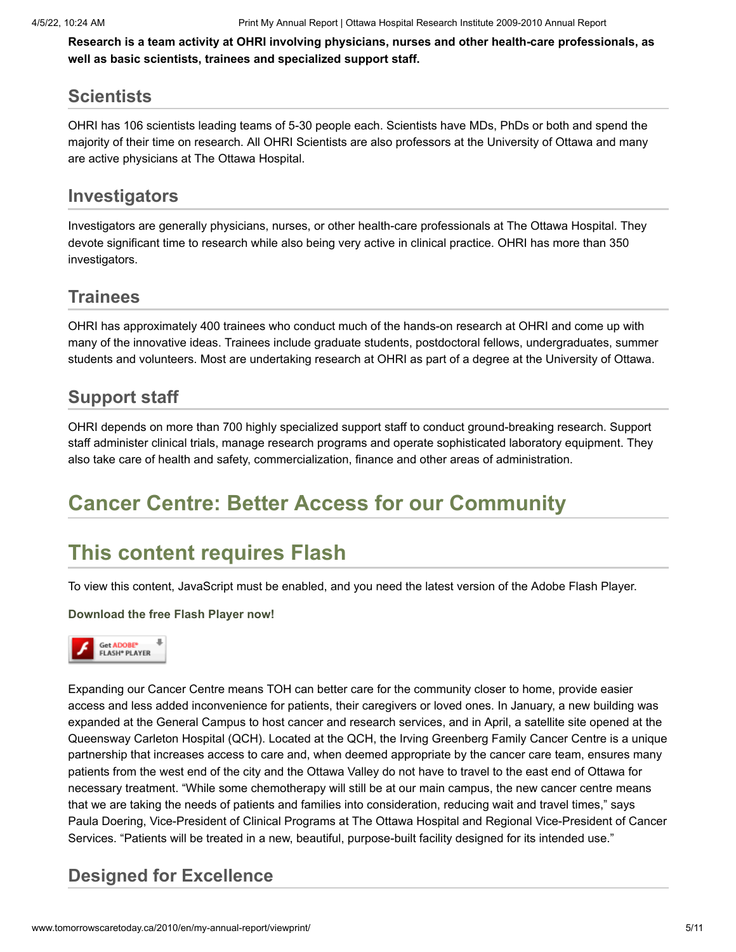**Research is a team activity at OHRI involving physicians, nurses and other health-care professionals, as well as basic scientists, trainees and specialized support staff.**

#### **Scientists**

OHRI has 106 scientists leading teams of 5-30 people each. Scientists have MDs, PhDs or both and spend the majority of their time on research. All OHRI Scientists are also professors at the University of Ottawa and many are active physicians at The Ottawa Hospital.

#### **Investigators**

Investigators are generally physicians, nurses, or other health-care professionals at The Ottawa Hospital. They devote significant time to research while also being very active in clinical practice. OHRI has more than 350 investigators.

#### **Trainees**

OHRI has approximately 400 trainees who conduct much of the hands-on research at OHRI and come up with many of the innovative ideas. Trainees include graduate students, postdoctoral fellows, undergraduates, summer students and volunteers. Most are undertaking research at OHRI as part of a degree at the University of Ottawa.

#### **Support staff**

OHRI depends on more than 700 highly specialized support staff to conduct ground-breaking research. Support staff administer clinical trials, manage research programs and operate sophisticated laboratory equipment. They also take care of health and safety, commercialization, finance and other areas of administration.

## **Cancer Centre: Better Access for our Community**

# **This content requires Flash**

To view this content, JavaScript must be enabled, and you need the latest version of the Adobe Flash Player.

#### **[Download the free Flash Player now!](http://www.adobe.com/go/getflashplayer)**



Expanding our Cancer Centre means TOH can better care for the community closer to home, provide easier access and less added inconvenience for patients, their caregivers or loved ones. In January, a new building was expanded at the General Campus to host cancer and research services, and in April, a satellite site opened at the Queensway Carleton Hospital (QCH). Located at the QCH, the Irving Greenberg Family Cancer Centre is a unique partnership that increases access to care and, when deemed appropriate by the cancer care team, ensures many patients from the west end of the city and the Ottawa Valley do not have to travel to the east end of Ottawa for necessary treatment. "While some chemotherapy will still be at our main campus, the new cancer centre means that we are taking the needs of patients and families into consideration, reducing wait and travel times," says Paula Doering, Vice-President of Clinical Programs at The Ottawa Hospital and Regional Vice-President of Cancer Services. "Patients will be treated in a new, beautiful, purpose-built facility designed for its intended use."

#### **Designed for Excellence**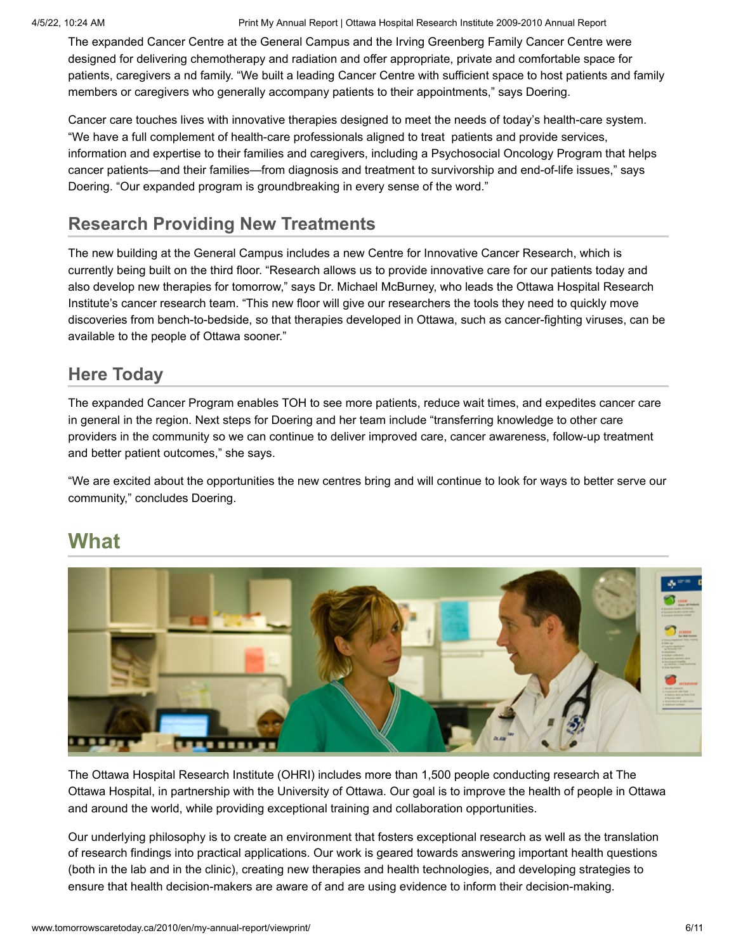The expanded Cancer Centre at the General Campus and the Irving Greenberg Family Cancer Centre were designed for delivering chemotherapy and radiation and offer appropriate, private and comfortable space for patients, caregivers a nd family. "We built a leading Cancer Centre with sufficient space to host patients and family members or caregivers who generally accompany patients to their appointments," says Doering.

Cancer care touches lives with innovative therapies designed to meet the needs of today's health-care system. "We have a full complement of health-care professionals aligned to treat patients and provide services, information and expertise to their families and caregivers, including a Psychosocial Oncology Program that helps cancer patients—and their families—from diagnosis and treatment to survivorship and end-of-life issues," says Doering. "Our expanded program is groundbreaking in every sense of the word."

#### **Research Providing New Treatments**

The new building at the General Campus includes a new Centre for Innovative Cancer Research, which is currently being built on the third floor. "Research allows us to provide innovative care for our patients today and also develop new therapies for tomorrow," says Dr. Michael McBurney, who leads the Ottawa Hospital Research Institute's cancer research team. "This new floor will give our researchers the tools they need to quickly move discoveries from bench-to-bedside, so that therapies developed in Ottawa, such as cancer-fighting viruses, can be available to the people of Ottawa sooner."

#### **Here Today**

The expanded Cancer Program enables TOH to see more patients, reduce wait times, and expedites cancer care in general in the region. Next steps for Doering and her team include "transferring knowledge to other care providers in the community so we can continue to deliver improved care, cancer awareness, follow-up treatment and better patient outcomes," she says.

"We are excited about the opportunities the new centres bring and will continue to look for ways to better serve our community," concludes Doering.

### **What**



The Ottawa Hospital Research Institute (OHRI) includes more than 1,500 people conducting research at The Ottawa Hospital, in partnership with the University of Ottawa. Our goal is to improve the health of people in Ottawa and around the world, while providing exceptional training and collaboration opportunities.

Our underlying philosophy is to create an environment that fosters exceptional research as well as the translation of research findings into practical applications. Our work is geared towards answering important health questions (both in the lab and in the clinic), creating new therapies and health technologies, and developing strategies to ensure that health decision-makers are aware of and are using evidence to inform their decision-making.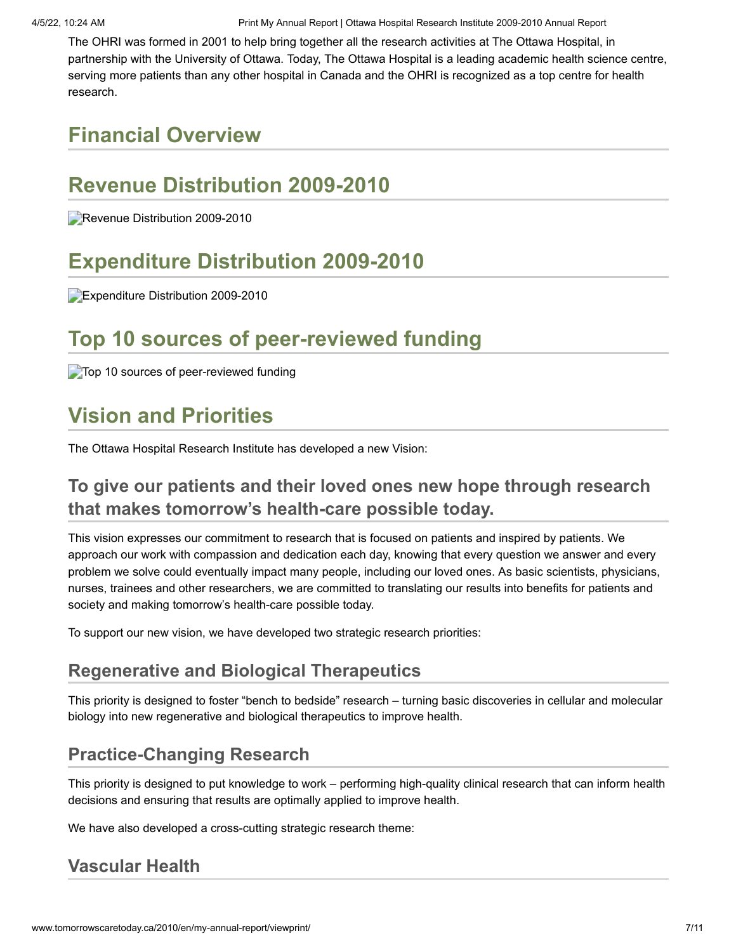The OHRI was formed in 2001 to help bring together all the research activities at The Ottawa Hospital, in partnership with the University of Ottawa. Today, The Ottawa Hospital is a leading academic health science centre, serving more patients than any other hospital in Canada and the OHRI is recognized as a top centre for health research.

# **Financial Overview**

# **Revenue Distribution 2009-2010**

Revenue Distribution 2009-2010

# **Expenditure Distribution 2009-2010**

Expenditure Distribution 2009-2010

# **Top 10 sources of peer-reviewed funding**

**Top 10 sources of peer-reviewed funding** 

# **Vision and Priorities**

The Ottawa Hospital Research Institute has developed a new Vision:

#### **To give our patients and their loved ones new hope through research that makes tomorrow's health-care possible today.**

This vision expresses our commitment to research that is focused on patients and inspired by patients. We approach our work with compassion and dedication each day, knowing that every question we answer and every problem we solve could eventually impact many people, including our loved ones. As basic scientists, physicians, nurses, trainees and other researchers, we are committed to translating our results into benefits for patients and society and making tomorrow's health-care possible today.

To support our new vision, we have developed two strategic research priorities:

#### **Regenerative and Biological Therapeutics**

This priority is designed to foster "bench to bedside" research – turning basic discoveries in cellular and molecular biology into new regenerative and biological therapeutics to improve health.

#### **Practice-Changing Research**

This priority is designed to put knowledge to work – performing high-quality clinical research that can inform health decisions and ensuring that results are optimally applied to improve health.

We have also developed a cross-cutting strategic research theme:

#### **Vascular Health**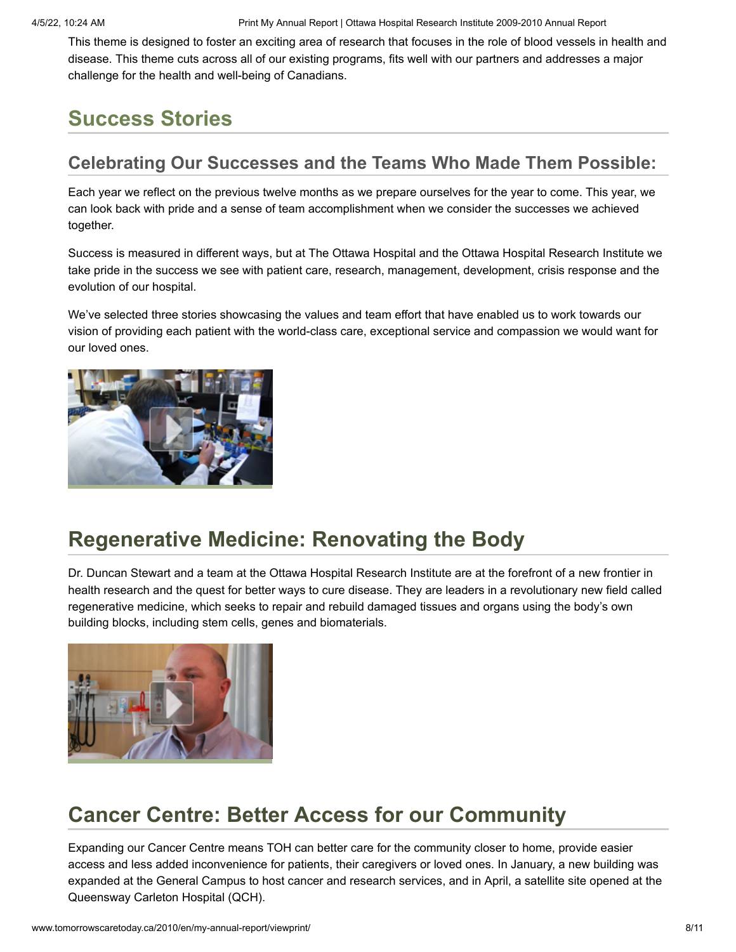This theme is designed to foster an exciting area of research that focuses in the role of blood vessels in health and disease. This theme cuts across all of our existing programs, fits well with our partners and addresses a major challenge for the health and well-being of Canadians.

# **Success Stories**

#### **Celebrating Our Successes and the Teams Who Made Them Possible:**

Each year we reflect on the previous twelve months as we prepare ourselves for the year to come. This year, we can look back with pride and a sense of team accomplishment when we consider the successes we achieved together.

Success is measured in different ways, but at The Ottawa Hospital and the Ottawa Hospital Research Institute we take pride in the success we see with patient care, research, management, development, crisis response and the evolution of our hospital.

We've selected three stories showcasing the values and team effort that have enabled us to work towards our vision of providing each patient with the world-class care, exceptional service and compassion we would want for our loved ones.



# **[Regenerative](http://www.tomorrowscaretoday.ca/2010/en/success-stories/renovating-the-body?phpMyAdmin=kNwxvZ7zkK42KEEOKf4p-taSJY6) Medicine: Renovating the Body**

Dr. Duncan Stewart and a team at the Ottawa Hospital Research Institute are at the forefront of a new frontier in health research and the quest for better ways to cure disease. They are leaders in a revolutionary new field called regenerative medicine, which seeks to repair and rebuild damaged tissues and organs using the body's own building blocks, including stem cells, genes and biomaterials.



# **Cancer Centre: Better Access for our [Community](http://www.tomorrowscaretoday.ca/2010/en/success-stories/cancer-centre?phpMyAdmin=kNwxvZ7zkK42KEEOKf4p-taSJY6)**

Expanding our Cancer Centre means TOH can better care for the community closer to home, provide easier access and less added inconvenience for patients, their caregivers or loved ones. In January, a new building was expanded at the General Campus to host cancer and research services, and in April, a satellite site opened at the Queensway Carleton Hospital (QCH).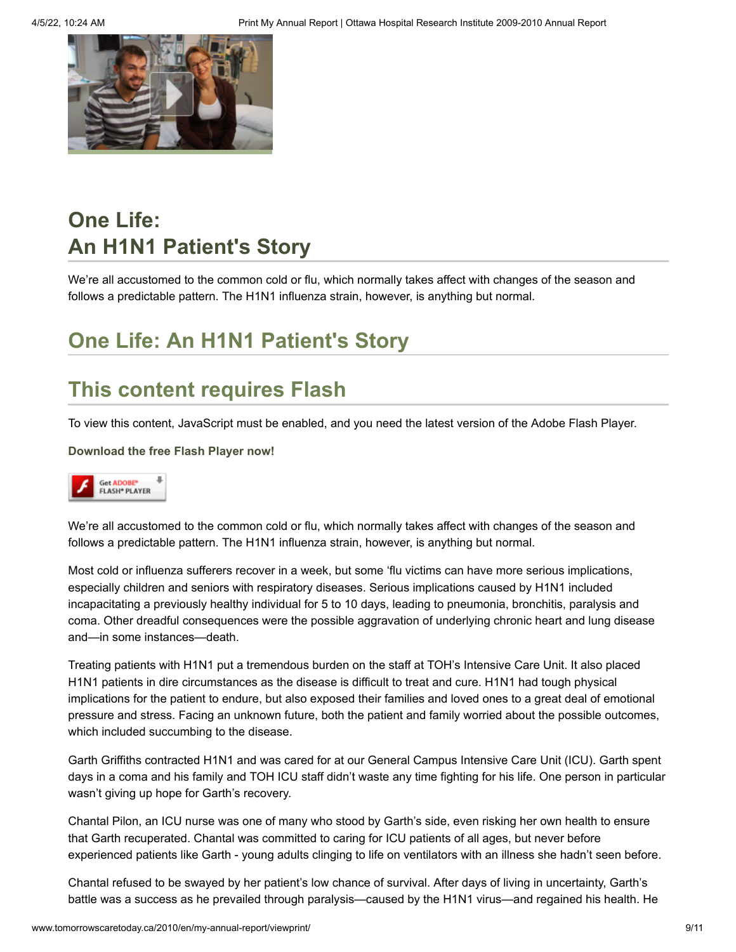

# **One Life: An H1N1 [Patient's](http://www.tomorrowscaretoday.ca/2010/en/success-stories/one-life-an-h1n1-patients-story?phpMyAdmin=kNwxvZ7zkK42KEEOKf4p-taSJY6) Story**

We're all accustomed to the common cold or flu, which normally takes affect with changes of the season and follows a predictable pattern. The H1N1 influenza strain, however, is anything but normal.

# **One Life: An H1N1 Patient's Story**

# **This content requires Flash**

To view this content, JavaScript must be enabled, and you need the latest version of the Adobe Flash Player.

**[Download the free Flash Player now!](http://www.adobe.com/go/getflashplayer)**



We're all accustomed to the common cold or flu, which normally takes affect with changes of the season and follows a predictable pattern. The H1N1 influenza strain, however, is anything but normal.

Most cold or influenza sufferers recover in a week, but some 'flu victims can have more serious implications, especially children and seniors with respiratory diseases. Serious implications caused by H1N1 included incapacitating a previously healthy individual for 5 to 10 days, leading to pneumonia, bronchitis, paralysis and coma. Other dreadful consequences were the possible aggravation of underlying chronic heart and lung disease and—in some instances—death.

Treating patients with H1N1 put a tremendous burden on the staff at TOH's Intensive Care Unit. It also placed H1N1 patients in dire circumstances as the disease is difficult to treat and cure. H1N1 had tough physical implications for the patient to endure, but also exposed their families and loved ones to a great deal of emotional pressure and stress. Facing an unknown future, both the patient and family worried about the possible outcomes, which included succumbing to the disease.

Garth Griffiths contracted H1N1 and was cared for at our General Campus Intensive Care Unit (ICU). Garth spent days in a coma and his family and TOH ICU staff didn't waste any time fighting for his life. One person in particular wasn't giving up hope for Garth's recovery.

Chantal Pilon, an ICU nurse was one of many who stood by Garth's side, even risking her own health to ensure that Garth recuperated. Chantal was committed to caring for ICU patients of all ages, but never before experienced patients like Garth - young adults clinging to life on ventilators with an illness she hadn't seen before.

Chantal refused to be swayed by her patient's low chance of survival. After days of living in uncertainty, Garth's battle was a success as he prevailed through paralysis—caused by the H1N1 virus—and regained his health. He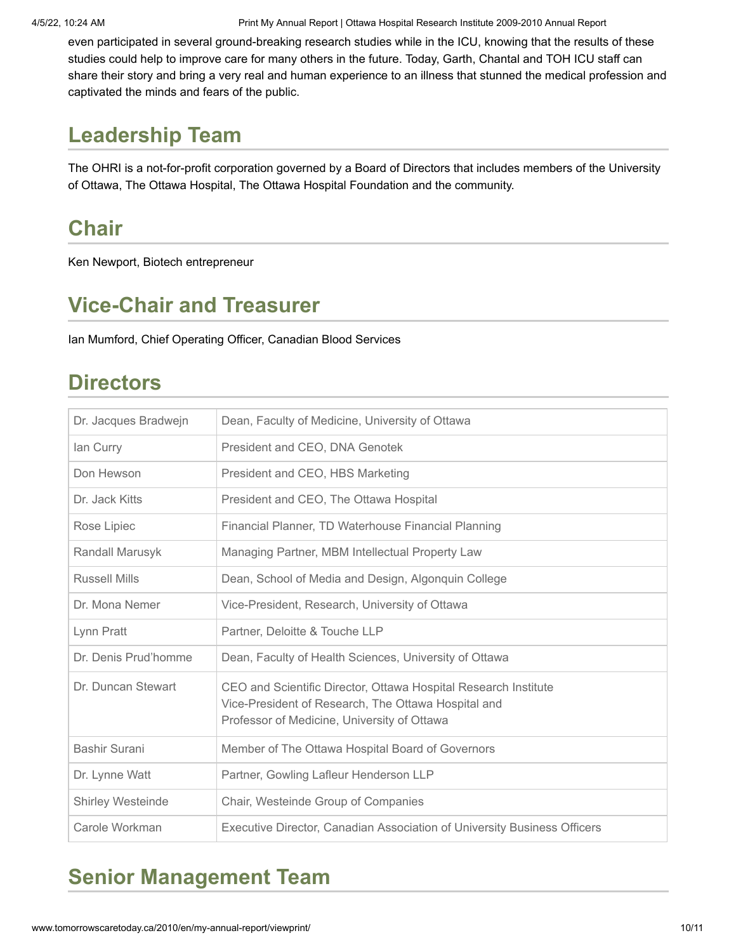even participated in several ground-breaking research studies while in the ICU, knowing that the results of these studies could help to improve care for many others in the future. Today, Garth, Chantal and TOH ICU staff can share their story and bring a very real and human experience to an illness that stunned the medical profession and captivated the minds and fears of the public.

## **Leadership Team**

The OHRI is a not-for-profit corporation governed by a Board of Directors that includes members of the University of Ottawa, The Ottawa Hospital, The Ottawa Hospital Foundation and the community.

# **Chair**

Ken Newport, Biotech entrepreneur

# **Vice-Chair and Treasurer**

Ian Mumford, Chief Operating Officer, Canadian Blood Services

### **Directors**

| Dr. Jacques Bradwejn | Dean, Faculty of Medicine, University of Ottawa                                                                                                                       |
|----------------------|-----------------------------------------------------------------------------------------------------------------------------------------------------------------------|
| lan Curry            | President and CEO, DNA Genotek                                                                                                                                        |
| Don Hewson           | President and CEO, HBS Marketing                                                                                                                                      |
| Dr. Jack Kitts       | President and CEO, The Ottawa Hospital                                                                                                                                |
| Rose Lipiec          | Financial Planner, TD Waterhouse Financial Planning                                                                                                                   |
| Randall Marusyk      | Managing Partner, MBM Intellectual Property Law                                                                                                                       |
| <b>Russell Mills</b> | Dean, School of Media and Design, Algonquin College                                                                                                                   |
| Dr. Mona Nemer       | Vice-President, Research, University of Ottawa                                                                                                                        |
| Lynn Pratt           | Partner, Deloitte & Touche LLP                                                                                                                                        |
| Dr. Denis Prud'homme | Dean, Faculty of Health Sciences, University of Ottawa                                                                                                                |
| Dr. Duncan Stewart   | CEO and Scientific Director, Ottawa Hospital Research Institute<br>Vice-President of Research, The Ottawa Hospital and<br>Professor of Medicine, University of Ottawa |
| Bashir Surani        | Member of The Ottawa Hospital Board of Governors                                                                                                                      |
| Dr. Lynne Watt       | Partner, Gowling Lafleur Henderson LLP                                                                                                                                |
| Shirley Westeinde    | Chair, Westeinde Group of Companies                                                                                                                                   |
| Carole Workman       | Executive Director, Canadian Association of University Business Officers                                                                                              |

# **Senior Management Team**